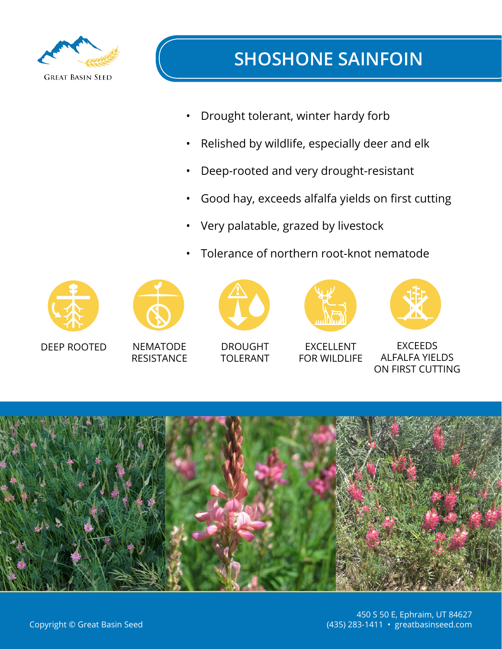

- Drought tolerant, winter hardy forb
- Relished by wildlife, especially deer and elk
- Deep-rooted and very drought-resistant
- Good hay, exceeds alfalfa yields on first cutting
- Very palatable, grazed by livestock
- Tolerance of northern root-knot nematode



 $\overline{C}$ DEEP ROOTED



Nematode NEMATODE<br>RESISTANCE **RESISTANCE** 



 $\overline{D}$ DROUGHT **TOLERANT** 



**EXCELLENT** FOR WILDLIFE



EV<sub>CE</sub> EXCEEDS<br>EALEA VIELI ALFALFA YIELDS ON FIRST CUTTING

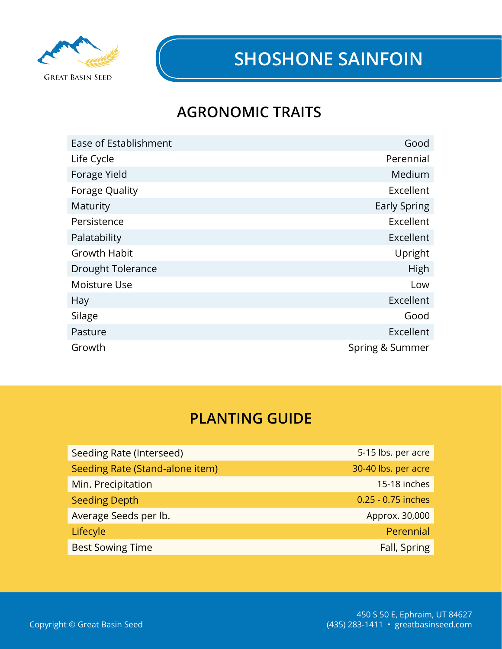

## **AGRONOMIC TRAITS**

| Ease of Establishment    | Good            |
|--------------------------|-----------------|
| Life Cycle               | Perennial       |
| Forage Yield             | Medium          |
| Forage Quality           | Excellent       |
| Maturity                 | Early Spring    |
| Persistence              | Excellent       |
| Palatability             | Excellent       |
| <b>Growth Habit</b>      | Upright         |
| <b>Drought Tolerance</b> | High            |
| Moisture Use             | Low             |
| <b>Hay</b>               | Excellent       |
| Silage                   | Good            |
| Pasture                  | Excellent       |
| Growth                   | Spring & Summer |

### **PLANTING GUIDE**

| Seeding Rate (Interseed)        | 5-15 lbs. per acre  |
|---------------------------------|---------------------|
| Seeding Rate (Stand-alone item) | 30-40 lbs. per acre |
| Min. Precipitation              | 15-18 inches        |
| <b>Seeding Depth</b>            | 0.25 - 0.75 inches  |
| Average Seeds per lb.           | Approx. 30,000      |
| Lifecyle                        | Perennial           |
| <b>Best Sowing Time</b>         | Fall, Spring        |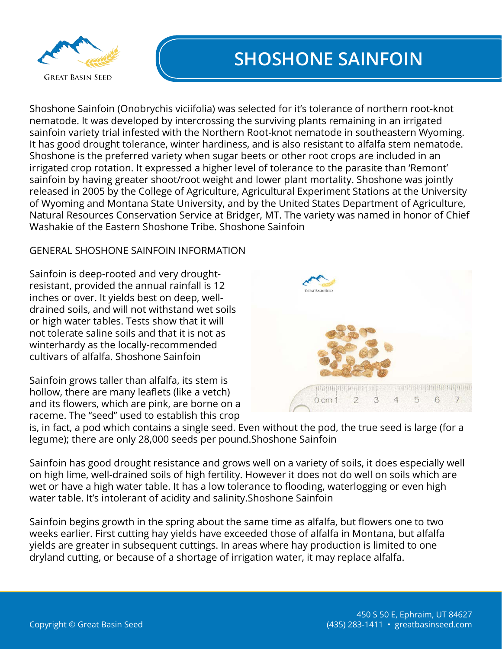

Shoshone Sainfoin (Onobrychis viciifolia) was selected for it's tolerance of northern root-knot nematode. It was developed by intercrossing the surviving plants remaining in an irrigated sainfoin variety trial infested with the Northern Root-knot nematode in southeastern Wyoming. It has good drought tolerance, winter hardiness, and is also resistant to alfalfa stem nematode. Shoshone is the preferred variety when sugar beets or other root crops are included in an irrigated crop rotation. It expressed a higher level of tolerance to the parasite than 'Remont' sainfoin by having greater shoot/root weight and lower plant mortality. Shoshone was jointly released in 2005 by the College of Agriculture, Agricultural Experiment Stations at the University of Wyoming and Montana State University, and by the United States Department of Agriculture, Natural Resources Conservation Service at Bridger, MT. The variety was named in honor of Chief Washakie of the Eastern Shoshone Tribe. Shoshone Sainfoin

#### GENERAL SHOSHONE SAINFOIN INFORMATION

Sainfoin is deep-rooted and very droughtresistant, provided the annual rainfall is 12 inches or over. It yields best on deep, welldrained soils, and will not withstand wet soils or high water tables. Tests show that it will not tolerate saline soils and that it is not as winterhardy as the locally-recommended cultivars of alfalfa. Shoshone Sainfoin

Sainfoin grows taller than alfalfa, its stem is hollow, there are many leaflets (like a vetch) and its flowers, which are pink, are borne on a raceme. The "seed" used to establish this crop



is, in fact, a pod which contains a single seed. Even without the pod, the true seed is large (for a legume); there are only 28,000 seeds per pound.Shoshone Sainfoin

Sainfoin has good drought resistance and grows well on a variety of soils, it does especially well on high lime, well-drained soils of high fertility. However it does not do well on soils which are wet or have a high water table. It has a low tolerance to flooding, waterlogging or even high water table. It's intolerant of acidity and salinity.Shoshone Sainfoin

Sainfoin begins growth in the spring about the same time as alfalfa, but flowers one to two weeks earlier. First cutting hay yields have exceeded those of alfalfa in Montana, but alfalfa yields are greater in subsequent cuttings. In areas where hay production is limited to one dryland cutting, or because of a shortage of irrigation water, it may replace alfalfa.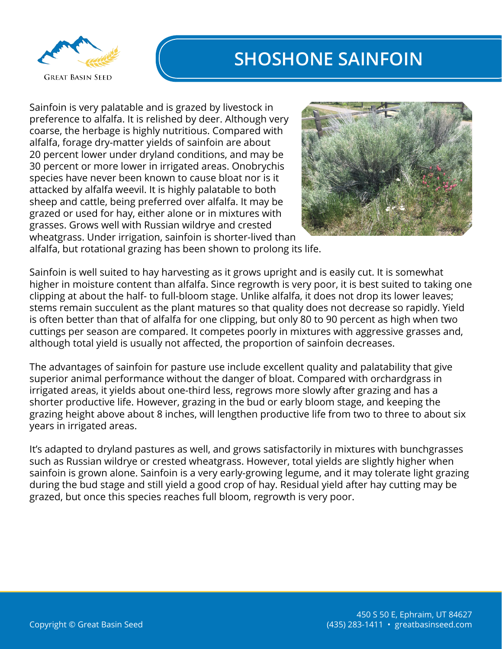

Sainfoin is very palatable and is grazed by livestock in preference to alfalfa. It is relished by deer. Although very coarse, the herbage is highly nutritious. Compared with alfalfa, forage dry-matter yields of sainfoin are about 20 percent lower under dryland conditions, and may be 30 percent or more lower in irrigated areas. Onobrychis species have never been known to cause bloat nor is it attacked by alfalfa weevil. It is highly palatable to both sheep and cattle, being preferred over alfalfa. It may be grazed or used for hay, either alone or in mixtures with grasses. Grows well with Russian wildrye and crested wheatgrass. Under irrigation, sainfoin is shorter-lived than



alfalfa, but rotational grazing has been shown to prolong its life.

Sainfoin is well suited to hay harvesting as it grows upright and is easily cut. It is somewhat higher in moisture content than alfalfa. Since regrowth is very poor, it is best suited to taking one clipping at about the half- to full-bloom stage. Unlike alfalfa, it does not drop its lower leaves; stems remain succulent as the plant matures so that quality does not decrease so rapidly. Yield is often better than that of alfalfa for one clipping, but only 80 to 90 percent as high when two cuttings per season are compared. It competes poorly in mixtures with aggressive grasses and, although total yield is usually not affected, the proportion of sainfoin decreases.

The advantages of sainfoin for pasture use include excellent quality and palatability that give superior animal performance without the danger of bloat. Compared with orchardgrass in irrigated areas, it yields about one-third less, regrows more slowly after grazing and has a shorter productive life. However, grazing in the bud or early bloom stage, and keeping the grazing height above about 8 inches, will lengthen productive life from two to three to about six years in irrigated areas.

It's adapted to dryland pastures as well, and grows satisfactorily in mixtures with bunchgrasses such as Russian wildrye or crested wheatgrass. However, total yields are slightly higher when sainfoin is grown alone. Sainfoin is a very early-growing legume, and it may tolerate light grazing during the bud stage and still yield a good crop of hay. Residual yield after hay cutting may be grazed, but once this species reaches full bloom, regrowth is very poor.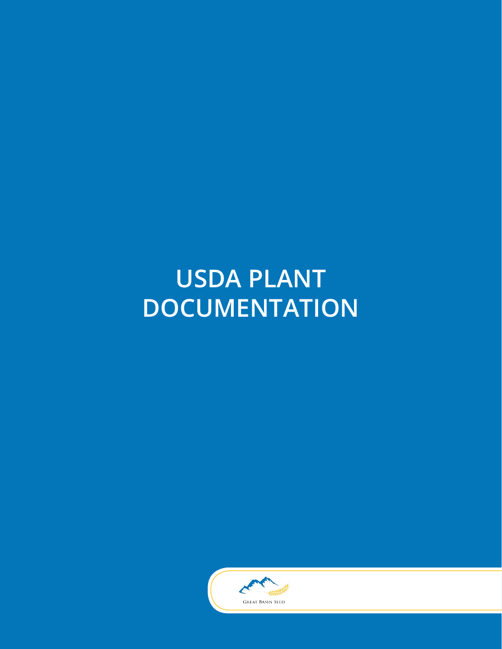# **USDA PLANT DOCUMENTATION**

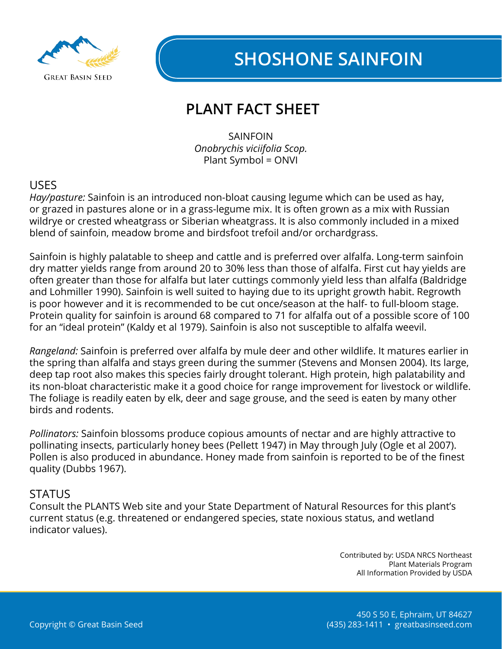

## **PLANT FACT SHEET**

SAINFOIN *Onobrychis viciifolia Scop.* Plant Symbol = ONVI

#### USES

*Hay/pasture:* Sainfoin is an introduced non-bloat causing legume which can be used as hay, or grazed in pastures alone or in a grass-legume mix. It is often grown as a mix with Russian wildrye or crested wheatgrass or Siberian wheatgrass. It is also commonly included in a mixed blend of sainfoin, meadow brome and birdsfoot trefoil and/or orchardgrass.

Sainfoin is highly palatable to sheep and cattle and is preferred over alfalfa. Long-term sainfoin dry matter yields range from around 20 to 30% less than those of alfalfa. First cut hay yields are often greater than those for alfalfa but later cuttings commonly yield less than alfalfa (Baldridge and Lohmiller 1990). Sainfoin is well suited to haying due to its upright growth habit. Regrowth is poor however and it is recommended to be cut once/season at the half- to full-bloom stage. Protein quality for sainfoin is around 68 compared to 71 for alfalfa out of a possible score of 100 for an "ideal protein" (Kaldy et al 1979). Sainfoin is also not susceptible to alfalfa weevil.

*Rangeland:* Sainfoin is preferred over alfalfa by mule deer and other wildlife. It matures earlier in the spring than alfalfa and stays green during the summer (Stevens and Monsen 2004). Its large, deep tap root also makes this species fairly drought tolerant. High protein, high palatability and its non-bloat characteristic make it a good choice for range improvement for livestock or wildlife. The foliage is readily eaten by elk, deer and sage grouse, and the seed is eaten by many other birds and rodents.

*Pollinators:* Sainfoin blossoms produce copious amounts of nectar and are highly attractive to pollinating insects, particularly honey bees (Pellett 1947) in May through July (Ogle et al 2007). Pollen is also produced in abundance. Honey made from sainfoin is reported to be of the finest quality (Dubbs 1967).

#### **STATUS**

Consult the PLANTS Web site and your State Department of Natural Resources for this plant's current status (e.g. threatened or endangered species, state noxious status, and wetland indicator values).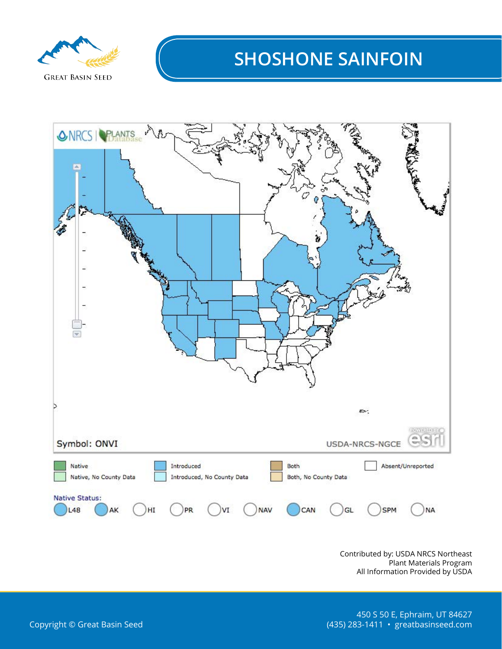

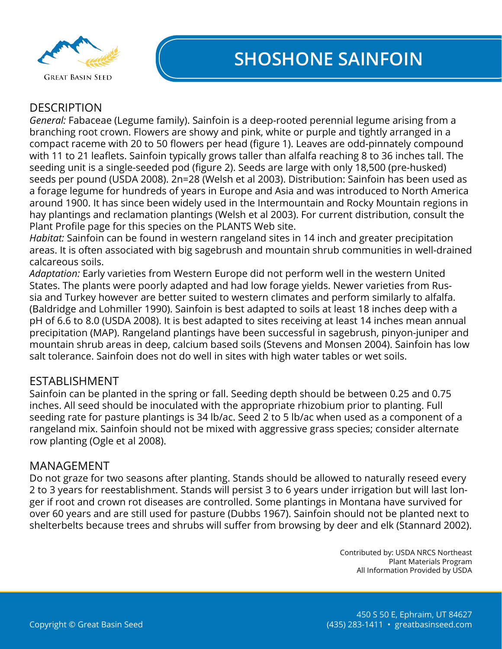

#### **DESCRIPTION**

*General:* Fabaceae (Legume family). Sainfoin is a deep-rooted perennial legume arising from a branching root crown. Flowers are showy and pink, white or purple and tightly arranged in a compact raceme with 20 to 50 flowers per head (figure 1). Leaves are odd-pinnately compound with 11 to 21 leaflets. Sainfoin typically grows taller than alfalfa reaching 8 to 36 inches tall. The seeding unit is a single-seeded pod (figure 2). Seeds are large with only 18,500 (pre-husked) seeds per pound (USDA 2008). 2n=28 (Welsh et al 2003). Distribution: Sainfoin has been used as a forage legume for hundreds of years in Europe and Asia and was introduced to North America around 1900. It has since been widely used in the Intermountain and Rocky Mountain regions in hay plantings and reclamation plantings (Welsh et al 2003). For current distribution, consult the Plant Profile page for this species on the PLANTS Web site.

*Habitat:* Sainfoin can be found in western rangeland sites in 14 inch and greater precipitation areas. It is often associated with big sagebrush and mountain shrub communities in well-drained calcareous soils.

*Adaptation:* Early varieties from Western Europe did not perform well in the western United States. The plants were poorly adapted and had low forage yields. Newer varieties from Russia and Turkey however are better suited to western climates and perform similarly to alfalfa. (Baldridge and Lohmiller 1990). Sainfoin is best adapted to soils at least 18 inches deep with a pH of 6.6 to 8.0 (USDA 2008). It is best adapted to sites receiving at least 14 inches mean annual precipitation (MAP). Rangeland plantings have been successful in sagebrush, pinyon-juniper and mountain shrub areas in deep, calcium based soils (Stevens and Monsen 2004). Sainfoin has low salt tolerance. Sainfoin does not do well in sites with high water tables or wet soils.

#### ESTABLISHMENT

Sainfoin can be planted in the spring or fall. Seeding depth should be between 0.25 and 0.75 inches. All seed should be inoculated with the appropriate rhizobium prior to planting. Full seeding rate for pasture plantings is 34 lb/ac. Seed 2 to 5 lb/ac when used as a component of a rangeland mix. Sainfoin should not be mixed with aggressive grass species; consider alternate row planting (Ogle et al 2008).

#### MANAGEMENT

Do not graze for two seasons after planting. Stands should be allowed to naturally reseed every 2 to 3 years for reestablishment. Stands will persist 3 to 6 years under irrigation but will last longer if root and crown rot diseases are controlled. Some plantings in Montana have survived for over 60 years and are still used for pasture (Dubbs 1967). Sainfoin should not be planted next to shelterbelts because trees and shrubs will suffer from browsing by deer and elk (Stannard 2002).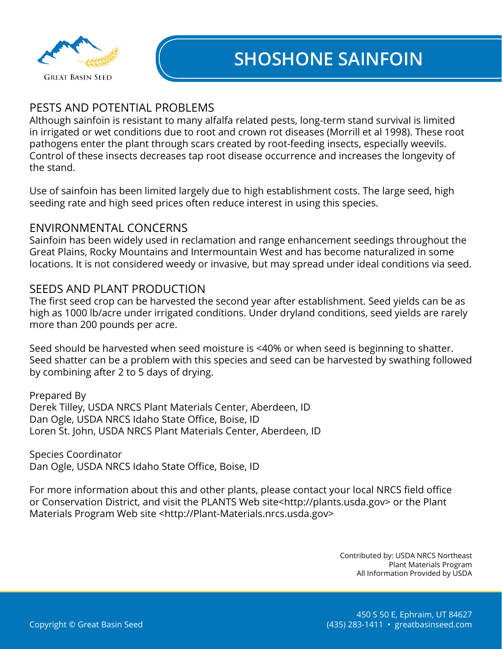

#### PESTS AND POTENTIAL PROBLEMS

Although sainfoin is resistant to many alfalfa related pests, long-term stand survival is limited in irrigated or wet conditions due to root and crown rot diseases (Morrill et al 1998). These root pathogens enter the plant through scars created by root-feeding insects, especially weevils. Control of these insects decreases tap root disease occurrence and increases the longevity of the stand.

Use of sainfoin has been limited largely due to high establishment costs. The large seed, high seeding rate and high seed prices often reduce interest in using this species.

#### ENVIRONMENTAL CONCERNS

Sainfoin has been widely used in reclamation and range enhancement seedings throughout the Great Plains, Rocky Mountains and Intermountain West and has become naturalized in some locations. It is not considered weedy or invasive, but may spread under ideal conditions via seed.

#### SEEDS AND PLANT PRODUCTION

The first seed crop can be harvested the second year after establishment. Seed yields can be as high as 1000 lb/acre under irrigated conditions. Under dryland conditions, seed yields are rarely more than 200 pounds per acre.

Seed should be harvested when seed moisture is <40% or when seed is beginning to shatter. Seed shatter can be a problem with this species and seed can be harvested by swathing followed by combining after 2 to 5 days of drying.

Prepared By Derek Tilley, USDA NRCS Plant Materials Center, Aberdeen, ID Dan Ogle, USDA NRCS Idaho State Office, Boise, ID Loren St. John, USDA NRCS Plant Materials Center, Aberdeen, ID

Species Coordinator Dan Ogle, USDA NRCS Idaho State Office, Boise, ID

For more information about this and other plants, please contact your local NRCS field office or Conservation District, and visit the PLANTS Web site<http://plants.usda.gov> or the Plant Materials Program Web site <http://Plant-Materials.nrcs.usda.gov>